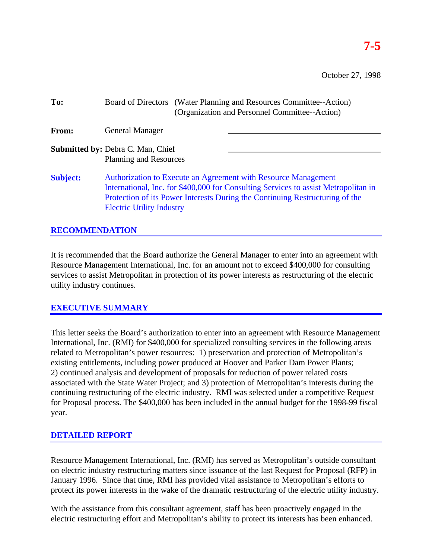October 27, 1998

| To:             | Board of Directors (Water Planning and Resources Committee--Action)<br>(Organization and Personnel Committee--Action)                                                                                                                                                     |
|-----------------|---------------------------------------------------------------------------------------------------------------------------------------------------------------------------------------------------------------------------------------------------------------------------|
| From:           | <b>General Manager</b>                                                                                                                                                                                                                                                    |
|                 | <b>Submitted by: Debra C. Man, Chief</b><br>Planning and Resources                                                                                                                                                                                                        |
| <b>Subject:</b> | Authorization to Execute an Agreement with Resource Management<br>International, Inc. for \$400,000 for Consulting Services to assist Metropolitan in<br>Protection of its Power Interests During the Continuing Restructuring of the<br><b>Electric Utility Industry</b> |

## **RECOMMENDATION**

It is recommended that the Board authorize the General Manager to enter into an agreement with Resource Management International, Inc. for an amount not to exceed \$400,000 for consulting services to assist Metropolitan in protection of its power interests as restructuring of the electric utility industry continues.

### **EXECUTIVE SUMMARY**

This letter seeks the Board's authorization to enter into an agreement with Resource Management International, Inc. (RMI) for \$400,000 for specialized consulting services in the following areas related to Metropolitan's power resources: 1) preservation and protection of Metropolitan's existing entitlements, including power produced at Hoover and Parker Dam Power Plants; 2) continued analysis and development of proposals for reduction of power related costs associated with the State Water Project; and 3) protection of Metropolitan's interests during the continuing restructuring of the electric industry. RMI was selected under a competitive Request for Proposal process. The \$400,000 has been included in the annual budget for the 1998-99 fiscal year.

# **DETAILED REPORT**

Resource Management International, Inc. (RMI) has served as Metropolitan's outside consultant on electric industry restructuring matters since issuance of the last Request for Proposal (RFP) in January 1996. Since that time, RMI has provided vital assistance to Metropolitan's efforts to protect its power interests in the wake of the dramatic restructuring of the electric utility industry.

With the assistance from this consultant agreement, staff has been proactively engaged in the electric restructuring effort and Metropolitan's ability to protect its interests has been enhanced.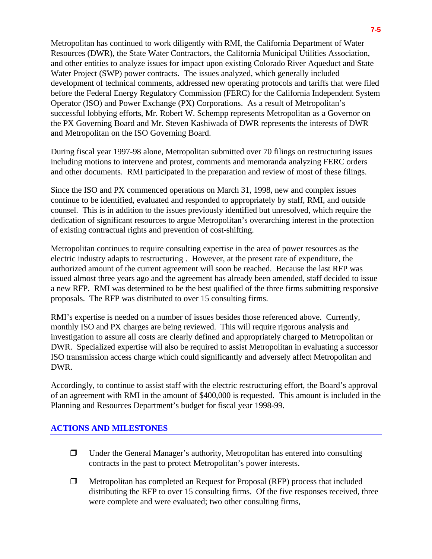Metropolitan has continued to work diligently with RMI, the California Department of Water Resources (DWR), the State Water Contractors, the California Municipal Utilities Association, and other entities to analyze issues for impact upon existing Colorado River Aqueduct and State Water Project (SWP) power contracts. The issues analyzed, which generally included development of technical comments, addressed new operating protocols and tariffs that were filed before the Federal Energy Regulatory Commission (FERC) for the California Independent System Operator (ISO) and Power Exchange (PX) Corporations. As a result of Metropolitan's successful lobbying efforts, Mr. Robert W. Schempp represents Metropolitan as a Governor on the PX Governing Board and Mr. Steven Kashiwada of DWR represents the interests of DWR and Metropolitan on the ISO Governing Board.

During fiscal year 1997-98 alone, Metropolitan submitted over 70 filings on restructuring issues including motions to intervene and protest, comments and memoranda analyzing FERC orders and other documents. RMI participated in the preparation and review of most of these filings.

Since the ISO and PX commenced operations on March 31, 1998, new and complex issues continue to be identified, evaluated and responded to appropriately by staff, RMI, and outside counsel. This is in addition to the issues previously identified but unresolved, which require the dedication of significant resources to argue Metropolitan's overarching interest in the protection of existing contractual rights and prevention of cost-shifting.

Metropolitan continues to require consulting expertise in the area of power resources as the electric industry adapts to restructuring . However, at the present rate of expenditure, the authorized amount of the current agreement will soon be reached. Because the last RFP was issued almost three years ago and the agreement has already been amended, staff decided to issue a new RFP. RMI was determined to be the best qualified of the three firms submitting responsive proposals. The RFP was distributed to over 15 consulting firms.

RMI's expertise is needed on a number of issues besides those referenced above. Currently, monthly ISO and PX charges are being reviewed. This will require rigorous analysis and investigation to assure all costs are clearly defined and appropriately charged to Metropolitan or DWR. Specialized expertise will also be required to assist Metropolitan in evaluating a successor ISO transmission access charge which could significantly and adversely affect Metropolitan and DWR.

Accordingly, to continue to assist staff with the electric restructuring effort, the Board's approval of an agreement with RMI in the amount of \$400,000 is requested. This amount is included in the Planning and Resources Department's budget for fiscal year 1998-99.

### **ACTIONS AND MILESTONES**

- $\Box$  Under the General Manager's authority, Metropolitan has entered into consulting contracts in the past to protect Metropolitan's power interests.
- $\Box$  Metropolitan has completed an Request for Proposal (RFP) process that included distributing the RFP to over 15 consulting firms. Of the five responses received, three were complete and were evaluated; two other consulting firms,